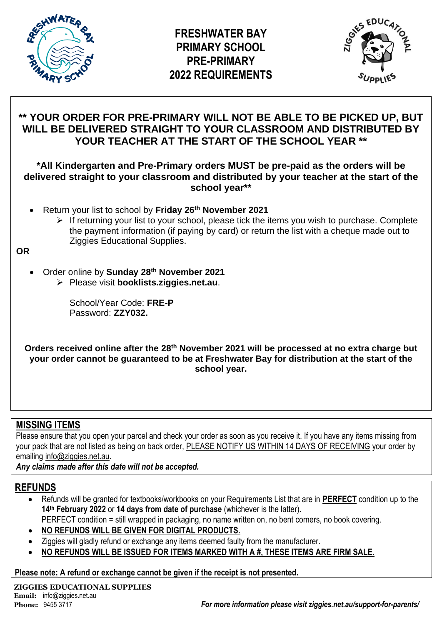



# **\*\* YOUR ORDER FOR PRE-PRIMARY WILL NOT BE ABLE TO BE PICKED UP, BUT WILL BE DELIVERED STRAIGHT TO YOUR CLASSROOM AND DISTRIBUTED BY YOUR TEACHER AT THE START OF THE SCHOOL YEAR \*\***

## **\*All Kindergarten and Pre-Primary orders MUST be pre-paid as the orders will be delivered straight to your classroom and distributed by your teacher at the start of the school year\*\***

- Return your list to school by **Friday 26 th November 2021**
	- ➢ If returning your list to your school, please tick the items you wish to purchase. Complete the payment information (if paying by card) or return the list with a cheque made out to Ziggies Educational Supplies.

**OR**

- Order online by **Sunday 28th November 2021**
	- ➢ Please visit **booklists.ziggies.net.au**.

School/Year Code: **FRE-P** Password: **ZZY032.**

**Orders received online after the 28th November 2021 will be processed at no extra charge but your order cannot be guaranteed to be at Freshwater Bay for distribution at the start of the school year.**

# **MISSING ITEMS**

Please ensure that you open your parcel and check your order as soon as you receive it. If you have any items missing from your pack that are not listed as being on back order, PLEASE NOTIFY US WITHIN 14 DAYS OF RECEIVING your order by emailing info@ziggies.net.au.

*Any claims made after this date will not be accepted.*

# **REFUNDS**

- Refunds will be granted for textbooks/workbooks on your Requirements List that are in **PERFECT** condition up to the **14th February 2022** or **14 days from date of purchase** (whichever is the latter).
- PERFECT condition = still wrapped in packaging, no name written on, no bent corners, no book covering.
- **NO REFUNDS WILL BE GIVEN FOR DIGITAL PRODUCTS.**
- Ziggies will gladly refund or exchange any items deemed faulty from the manufacturer.
- **NO REFUNDS WILL BE ISSUED FOR ITEMS MARKED WITH A #, THESE ITEMS ARE FIRM SALE.**

**Please note: A refund or exchange cannot be given if the receipt is not presented.**

**ZIGGIES EDUCATIONAL SUPPLIES Email:** info@ziggies.net.au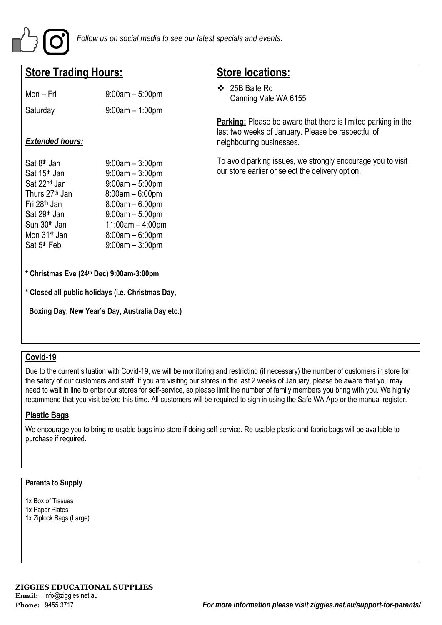

| <b>Store Trading Hours:</b>                                                                                                                                                                                                                              |                                                                                                                                                                                            | <b>Store locations:</b>                                                                                                                                |  |  |  |  |
|----------------------------------------------------------------------------------------------------------------------------------------------------------------------------------------------------------------------------------------------------------|--------------------------------------------------------------------------------------------------------------------------------------------------------------------------------------------|--------------------------------------------------------------------------------------------------------------------------------------------------------|--|--|--|--|
| Mon - Fri<br>Saturday                                                                                                                                                                                                                                    | $9:00am - 5:00pm$<br>$9:00am - 1:00pm$                                                                                                                                                     | ❖ 25B Baile Rd<br>Canning Vale WA 6155                                                                                                                 |  |  |  |  |
| <b>Extended hours:</b>                                                                                                                                                                                                                                   |                                                                                                                                                                                            | <b>Parking:</b> Please be aware that there is limited parking in the<br>last two weeks of January. Please be respectful of<br>neighbouring businesses. |  |  |  |  |
| Sat 8 <sup>th</sup> Jan<br>Sat 15 <sup>th</sup> Jan<br>Sat 22 <sup>nd</sup> Jan<br>Thurs 27 <sup>th</sup> Jan<br>Fri 28 <sup>th</sup> Jan<br>Sat 29 <sup>th</sup> Jan<br>Sun 30 <sup>th</sup> Jan<br>Mon 31 <sup>st</sup> Jan<br>Sat 5 <sup>th</sup> Feb | $9:00am - 3:00pm$<br>$9:00am - 3:00pm$<br>$9:00am - 5:00pm$<br>$8:00am - 6:00pm$<br>$8:00am - 6:00pm$<br>$9:00am - 5:00pm$<br>$11:00am - 4:00pm$<br>$8:00am - 6:00pm$<br>$9:00am - 3:00pm$ | To avoid parking issues, we strongly encourage you to visit<br>our store earlier or select the delivery option.                                        |  |  |  |  |
| * Christmas Eve (24th Dec) 9:00am-3:00pm<br>* Closed all public holidays (i.e. Christmas Day,                                                                                                                                                            |                                                                                                                                                                                            |                                                                                                                                                        |  |  |  |  |
| Boxing Day, New Year's Day, Australia Day etc.)                                                                                                                                                                                                          |                                                                                                                                                                                            |                                                                                                                                                        |  |  |  |  |

## **Covid-19**

Due to the current situation with Covid-19, we will be monitoring and restricting (if necessary) the number of customers in store for the safety of our customers and staff. If you are visiting our stores in the last 2 weeks of January, please be aware that you may need to wait in line to enter our stores for self-service, so please limit the number of family members you bring with you. We highly recommend that you visit before this time. All customers will be required to sign in using the Safe WA App or the manual register.

### **Plastic Bags**

We encourage you to bring re-usable bags into store if doing self-service. Re-usable plastic and fabric bags will be available to purchase if required.

#### **Parents to Supply**

1x Box of Tissues 1x Paper Plates 1x Ziplock Bags (Large)